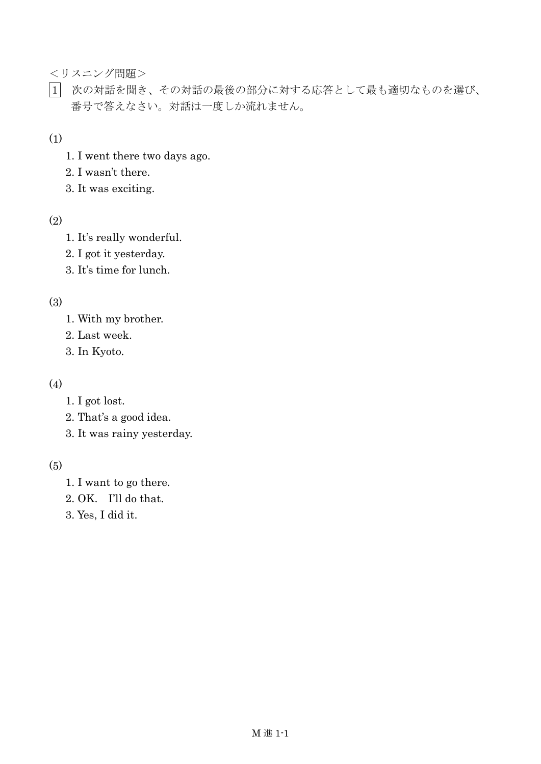<リスニング問題>

1 次の対話を聞き、その対話の最後の部分に対する応答として最も適切なものを選び、 番号で答えなさい。対話は一度しか流れません。

(1)

- 1. I went there two days ago.
- 2. I wasn't there.
- 3. It was exciting.

#### (2)

- 1. It's really wonderful.
- 2. I got it yesterday.
- 3. It's time for lunch.

#### (3)

- 1. With my brother.
- 2. Last week.
- 3. In Kyoto.

#### (4)

- 1. I got lost.
- 2. That's a good idea.
- 3. It was rainy yesterday.

#### (5)

- 1. I want to go there.
- 2. OK. I'll do that.
- 3. Yes, I did it.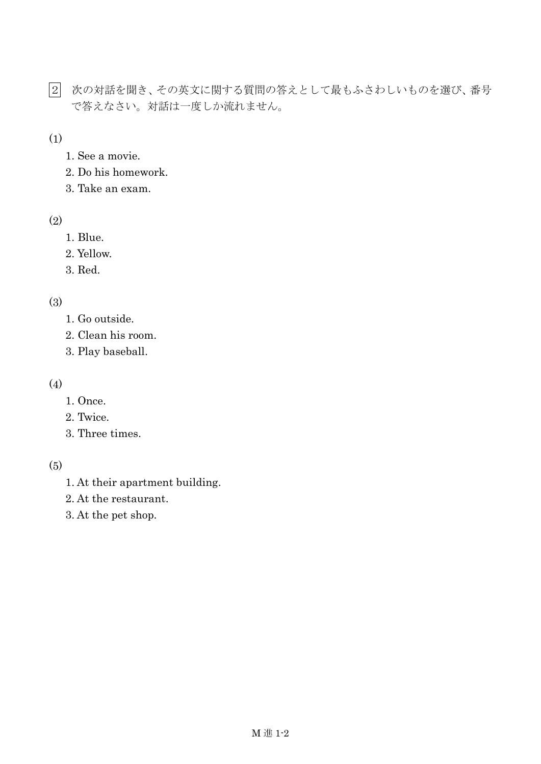- 2 次の対話を聞き、その英文に関する質問の答えとして最もふさわしいものを選び、番号 で答えなさい。対話は一度しか流れません。
- (1)
	- 1. See a movie.
	- 2. Do his homework.
	- 3. Take an exam.

#### (2)

- 1. Blue.
- 2. Yellow.
- 3. Red.

# (3)

- 1. Go outside.
- 2. Clean his room.
- 3. Play baseball.

#### (4)

- 1. Once.
- 2. Twice.
- 3. Three times.

# (5)

- 1. At their apartment building.
- 2. At the restaurant.
- 3. At the pet shop.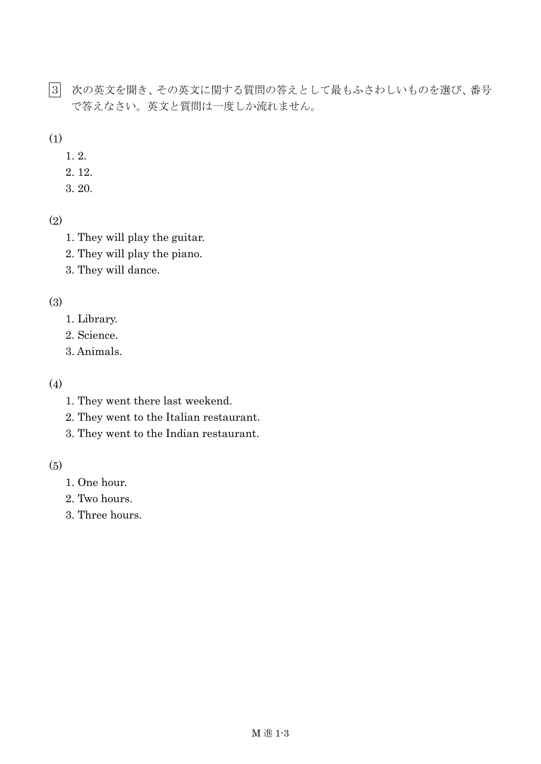3 次の英文を聞き、その英文に関する質問の答えとして最もふさわしいものを選び、番号 で答えなさい。英文と質問は一度しか流れません。

(1)

- 1. 2.
- 2. 12.
- 3. 20.

```
(2)
```
- 1. They will play the guitar.
- 2. They will play the piano.
- 3. They will dance.

# (3)

- 1. Library.
- 2. Science.
- 3. Animals.

# (4)

- 1. They went there last weekend.
- 2. They went to the Italian restaurant.
- 3. They went to the Indian restaurant.

# (5)

- 1. One hour.
- 2. Two hours.
- 3. Three hours.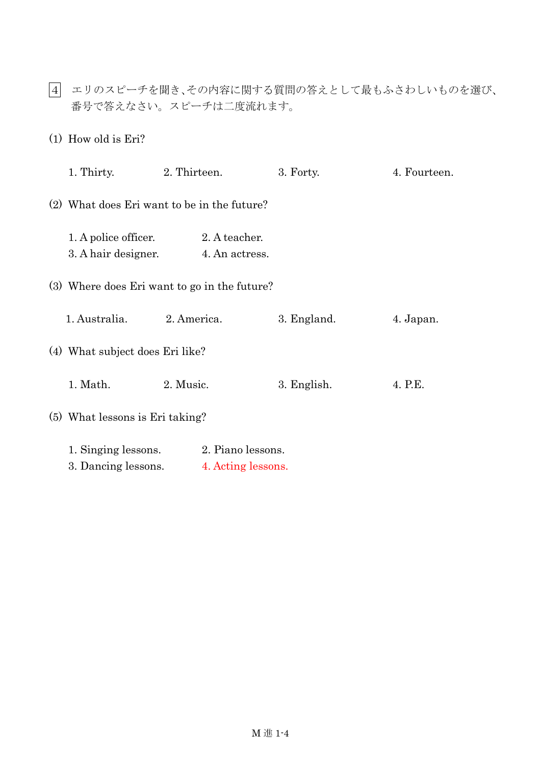4 エリのスピーチを聞き、その内容に関する質問の答えとして最もふさわしいものを選び、 番号で答えなさい。スピーチは二度流れます。

(1) How old is Eri?

|                                              |                                             | 1. Thirty. 2. Thirteen.                             | 3. Forty.   | 4. Fourteen. |  |  |
|----------------------------------------------|---------------------------------------------|-----------------------------------------------------|-------------|--------------|--|--|
|                                              | (2) What does Eri want to be in the future? |                                                     |             |              |  |  |
|                                              | 1. A police officer.                        | 2. A teacher.<br>3. A hair designer. 4. An actress. |             |              |  |  |
| (3) Where does Eri want to go in the future? |                                             |                                                     |             |              |  |  |
|                                              | 1. Australia. 2. America.                   |                                                     | 3. England. | 4. Japan.    |  |  |
| (4) What subject does Eri like?              |                                             |                                                     |             |              |  |  |
|                                              | 1. Math.                                    | 2. Music.                                           | 3. English. | 4. P.E.      |  |  |
|                                              | (5) What lessons is Eri taking?             |                                                     |             |              |  |  |
|                                              | 1. Singing lessons.<br>3. Dancing lessons.  | 2. Piano lessons.<br>4. Acting lessons.             |             |              |  |  |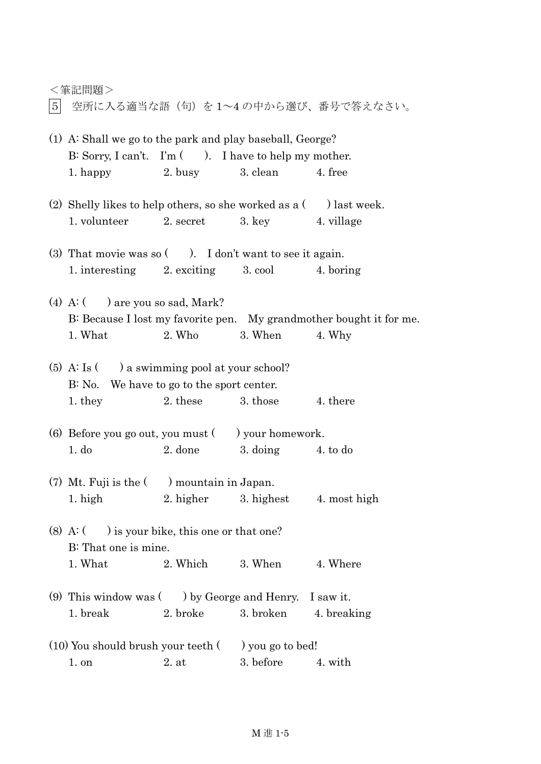| 空所に入る適当な語(句)を1~4の中から選び、番号で答えなさい。<br>5 <sup>1</sup>                                                                                                         |
|------------------------------------------------------------------------------------------------------------------------------------------------------------|
| (1) A: Shall we go to the park and play baseball, George?<br>B: Sorry, I can't. I'm ( ). I have to help my mother.<br>2. busy 3. clean 4. free<br>1. happy |
| (2) Shelly likes to help others, so she worked as $a$ (b) last week.<br>1. volunteer 2. secret 3. key 4. village                                           |
| (3) That movie was so $($ ). I don't want to see it again.<br>1. interesting 2. exciting 3. cool 4. boring                                                 |
| (4) A: $($ $)$ are you so sad, Mark?<br>B: Because I lost my favorite pen. My grandmother bought it for me.<br>$2.$ Who<br>1. What<br>3. When 4. Why       |
| $(5)$ A: Is $($ a swimming pool at your school?                                                                                                            |

<筆記問題>

# B: No. We have to go to the sport center. 1. they 2. these 3. those 4. there

- (6) Before you go out, you must  $($ ) your homework. 1. do 2. done 3. doing 4. to do
- (7) Mt. Fuji is the ( ) mountain in Japan. 1. high 2. higher 3. highest 4. most high
- (8) A:  $($  ) is your bike, this one or that one? B: That one is mine. 1. What 2. Which 3. When 4. Where
- (9) This window was ( ) by George and Henry. I saw it. 1. break 2. broke 3. broken 4. breaking
- $(10)$  You should brush your teeth  $($ ) you go to bed! 1 on 2 at 3 before 4 with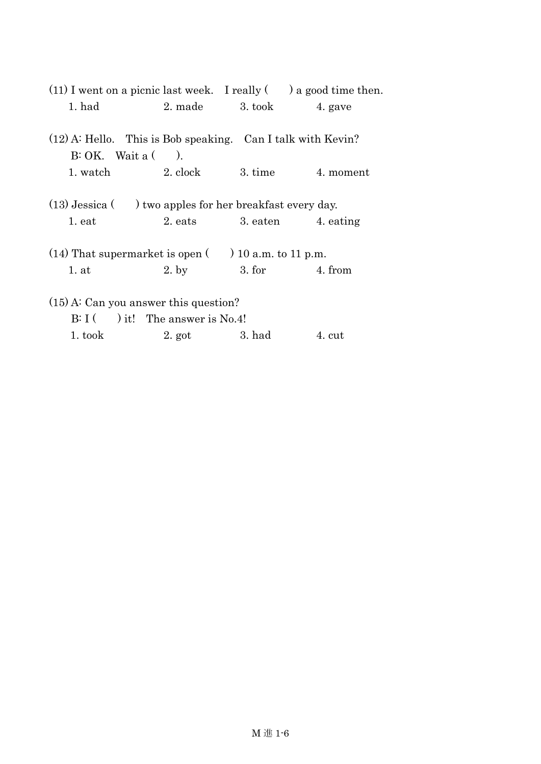|                                                                                                          |                                    |                   | $(11)$ I went on a picnic last week. I really $($ ) a good time then. |  |  |  |  |
|----------------------------------------------------------------------------------------------------------|------------------------------------|-------------------|-----------------------------------------------------------------------|--|--|--|--|
| 1. had                                                                                                   |                                    | 2. made 3. took   | 4. gave                                                               |  |  |  |  |
| $(12)$ A: Hello. This is Bob speaking. Can I talk with Kevin?<br>$B: OK.$ Wait a $($ ).                  |                                    |                   |                                                                       |  |  |  |  |
|                                                                                                          | 1. watch 2. clock                  |                   | 3. time 4. moment                                                     |  |  |  |  |
| $(13)$ Jessica $($ $)$ two apples for her breakfast every day.<br>2. eats 3. eaten 4. eating<br>$1.$ eat |                                    |                   |                                                                       |  |  |  |  |
| $(14)$ That supermarket is open $($ ) 10 a.m. to 11 p.m.                                                 |                                    |                   |                                                                       |  |  |  |  |
| 1.at                                                                                                     | $2.$ by                            |                   | $3. for$ $4. from$                                                    |  |  |  |  |
| $(15)$ A: Can you answer this question?                                                                  |                                    |                   |                                                                       |  |  |  |  |
|                                                                                                          | $B: I$ ( ) it! The answer is No.4! |                   |                                                                       |  |  |  |  |
| 1. took                                                                                                  |                                    | $2.$ got $3.$ had | 4. cut                                                                |  |  |  |  |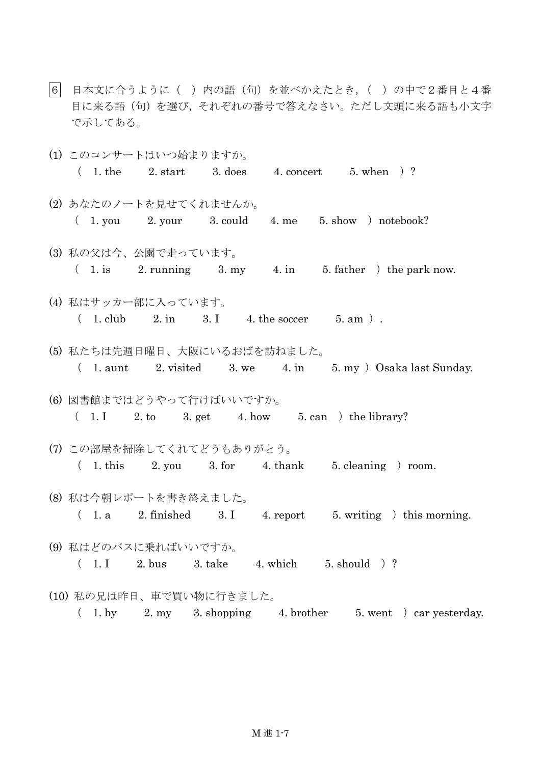- |6| 日本文に合うように( )内の語(句)を並べかえたとき, ( )の中で2番目と4番 目に来る語(句)を選び,それぞれの番号で答えなさい。ただし文頭に来る語も小文字 で示してある。
- (1) このコンサートはいつ始まりますか。  $(1.$  the  $2.$  start  $3.$  does  $4.$  concert  $5.$  when  $)?$ (2) あなたのノートを見せてくれませんか。  $(1.$  you  $2.$  your  $3.$  could  $4.$  me  $5.$  show  $)$  notebook? (3) 私の父は今、公園で走っています。  $(1. \text{ is } 2. \text{ running } 3. \text{ my } 4. \text{ in } 5. \text{ father } ) \text{ the park now.}$ (4) 私はサッカー部に入っています。  $(1. \text{club } 2. \text{ in } 3. \text{ I } 4. \text{ the soccer } 5. \text{ am } ).$ (5) 私たちは先週日曜日、大阪にいるおばを訪ねました。  $(1. \text{aunt} \quad 2. \text{visited} \quad 3. \text{ we} \quad 4. \text{in} \quad 5. \text{my}$   $\big)$  Osaka last Sunday. (6) 図書館まではどうやって行けばいいですか。  $(1.1 \t2. to \t3. get \t4. how \t5. can \t6. the library?$ (7) この部屋を掃除してくれてどうもありがとう。  $(1. \text{this} \quad 2. \text{ you} \quad 3. \text{for} \quad 4. \text{thank} \quad 5. \text{ cleaning}$  room. (8) 私は今朝レポートを書き終えました。  $(1. a 2. finished 3. I 4. report 5. writing ) this morning.$ (9) 私はどのバスに乗ればいいですか。 ( 1. I 2. bus 3. take 4. which 5. should )? (10) 私の兄は昨日、車で買い物に行きました。  $(1. \text{ by } 2. \text{ my } 3. \text{ shopping } 4. \text{ brother } 5. \text{ went } ) \text{ car yesterday.}$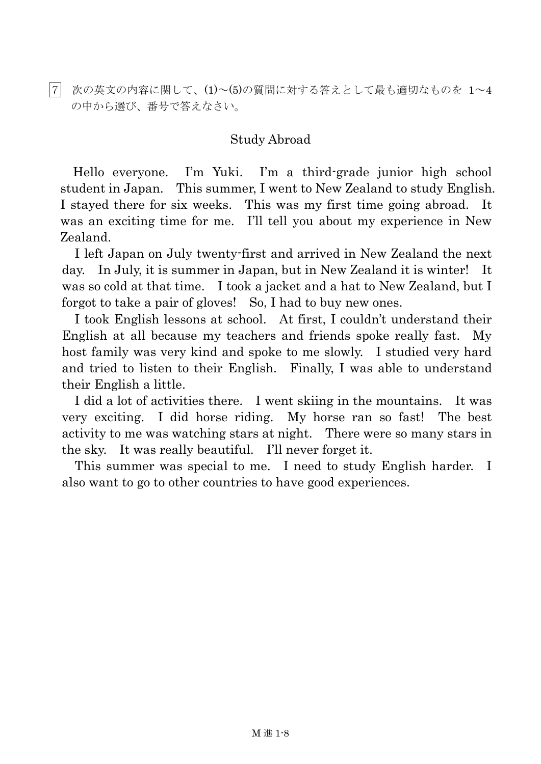|7| 次の英文の内容に関して、(1)~(5)の質問に対する答えとして最も適切なものを 1~4 の中から選び、番号で答えなさい。

# Study Abroad

Hello everyone. I'm Yuki. I'm a third-grade junior high school student in Japan. This summer, I went to New Zealand to study English. I stayed there for six weeks. This was my first time going abroad. It was an exciting time for me. I'll tell you about my experience in New Zealand.

 I left Japan on July twenty-first and arrived in New Zealand the next day. In July, it is summer in Japan, but in New Zealand it is winter! It was so cold at that time. I took a jacket and a hat to New Zealand, but I forgot to take a pair of gloves! So, I had to buy new ones.

I took English lessons at school. At first, I couldn't understand their English at all because my teachers and friends spoke really fast. My host family was very kind and spoke to me slowly. I studied very hard and tried to listen to their English. Finally, I was able to understand their English a little.

I did a lot of activities there. I went skiing in the mountains. It was very exciting. I did horse riding. My horse ran so fast! The best activity to me was watching stars at night. There were so many stars in the sky. It was really beautiful. I'll never forget it.

This summer was special to me. I need to study English harder. I also want to go to other countries to have good experiences.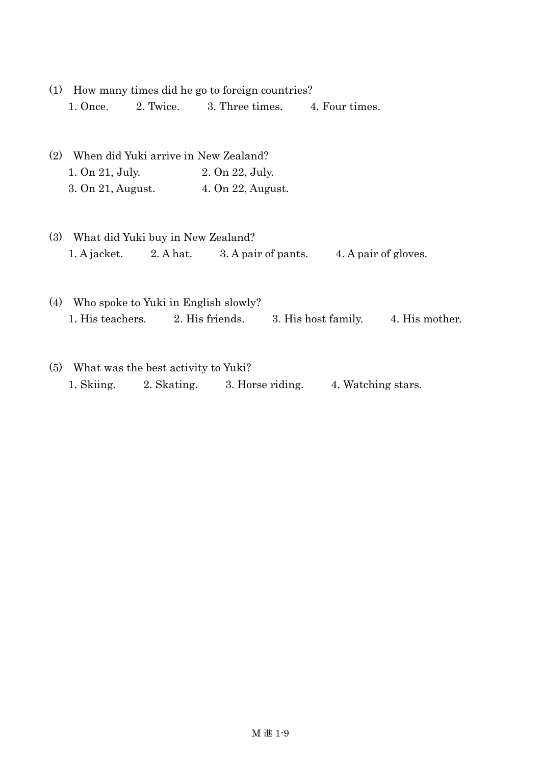- (1) How many times did he go to foreign countries? 1. Once. 2. Twice. 3. Three times. 4. Four times.
- (2) When did Yuki arrive in New Zealand? 1. On 21, July. 2. On 22, July. 3. On 21, August. 4. On 22, August.
- (3) What did Yuki buy in New Zealand? 1. A jacket. 2. A hat. 3. A pair of pants. 4. A pair of gloves.
- (4) Who spoke to Yuki in English slowly? 1. His teachers. 2. His friends. 3. His host family. 4. His mother.
- (5) What was the best activity to Yuki? 1. Skiing. 2. Skating. 3. Horse riding. 4. Watching stars.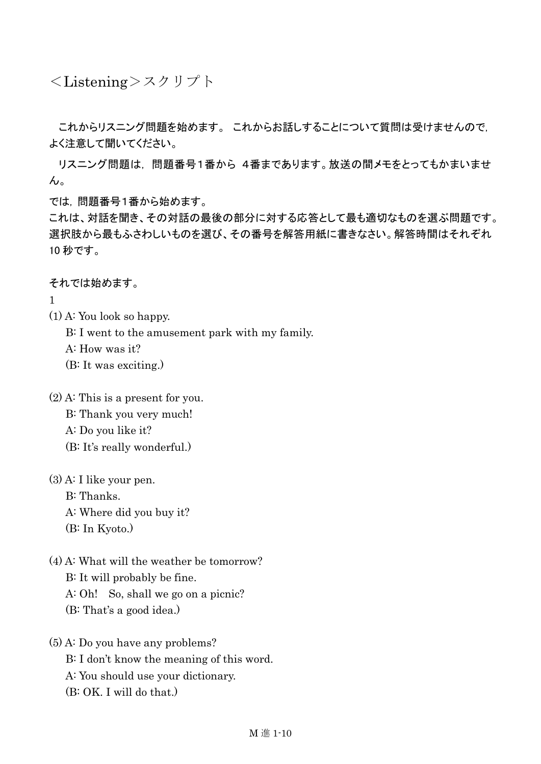<Listening>スクリプト

これからリスニング問題を始めます。 これからお話しすることについて質問は受けませんので, よく注意して聞いてください。

リスニング問題は, 問題番号1番から 4番まであります。放送の間メモをとってもかまいませ  $\mathcal{L}_{\alpha}$ 

では, 問題番号1番から始めます。

これは、対話を聞き、その対話の最後の部分に対する応答として最も適切なものを選ぶ問題です。 選択肢から最もふさわしいものを選び、その番号を解答用紙に書きなさい。解答時間はそれぞれ 10 秒です。

それでは始めます。

1

(1) A: You look so happy.

B: I went to the amusement park with my family.

A: How was it?

(B: It was exciting.)

(2) A: This is a present for you. B: Thank you very much! A: Do you like it? (B: It's really wonderful.)

- (3) A: I like your pen. B: Thanks. A: Where did you buy it? (B: In Kyoto.)
- (4) A: What will the weather be tomorrow? B: It will probably be fine. A: Oh! So, shall we go on a picnic? (B: That's a good idea.)

# (5) A: Do you have any problems? B: I don't know the meaning of this word. A: You should use your dictionary. (B: OK. I will do that.)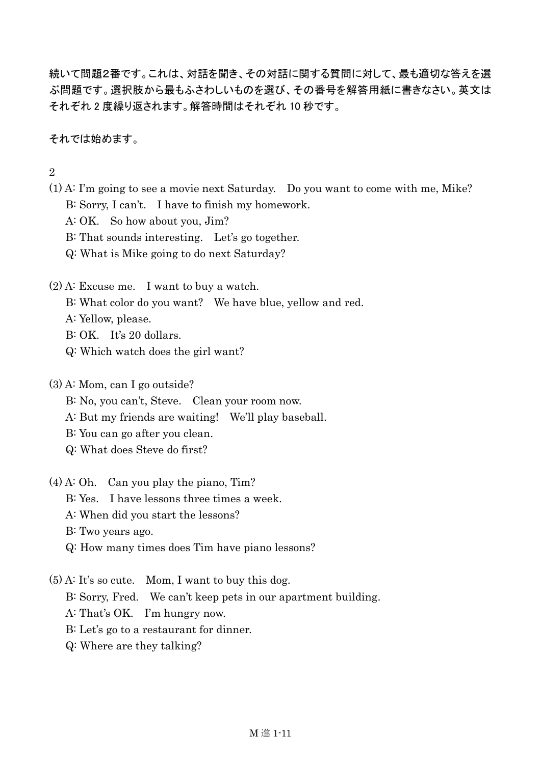続いて問題2番です。これは、対話を聞き、その対話に関する質問に対して、最も適切な答えを選 ぶ問題です。選択肢から最もふさわしいものを選び、その番号を解答用紙に書きなさい。英文は それぞれ 2 度繰り返されます。解答時間はそれぞれ 10 秒です。

それでは始めます。

 $\mathcal{D}_{\mathcal{L}}$ 

- (1) A: I'm going to see a movie next Saturday. Do you want to come with me, Mike? B: Sorry, I can't. I have to finish my homework.
	- A: OK. So how about you, Jim?
	- B: That sounds interesting. Let's go together.
	- Q: What is Mike going to do next Saturday?
- (2) A: Excuse me. I want to buy a watch.
	- B: What color do you want? We have blue, yellow and red.
	- A: Yellow, please.
	- B: OK. It's 20 dollars.
	- Q: Which watch does the girl want?
- (3) A: Mom, can I go outside?
	- B: No, you can't, Steve. Clean your room now.
	- A: But my friends are waiting! We'll play baseball.
	- B: You can go after you clean.
	- Q: What does Steve do first?
- (4) A: Oh. Can you play the piano, Tim?
	- B: Yes. I have lessons three times a week.
	- A: When did you start the lessons?
	- B: Two years ago.
	- Q: How many times does Tim have piano lessons?
- (5) A: It's so cute. Mom, I want to buy this dog.
	- B: Sorry, Fred. We can't keep pets in our apartment building.
	- A: That's OK. I'm hungry now.
	- B: Let's go to a restaurant for dinner.
	- Q: Where are they talking?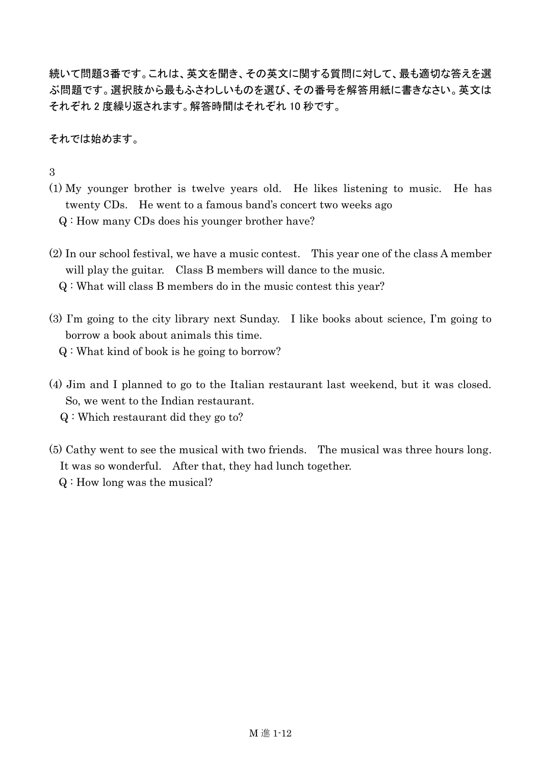続いて問題3番です。これは、英文を聞き、その英文に関する質問に対して、最も適切な答えを選 ぶ問題です。選択肢から最もふさわしいものを選び、その番号を解答用紙に書きなさい。英文は それぞれ 2 度繰り返されます。解答時間はそれぞれ 10 秒です。

それでは始めます。

#### 3

(1) My younger brother is twelve years old. He likes listening to music. He has twenty CDs. He went to a famous band's concert two weeks ago

Q : How many CDs does his younger brother have?

(2) In our school festival, we have a music contest. This year one of the class A member will play the guitar. Class B members will dance to the music.

Q : What will class B members do in the music contest this year?

(3) I'm going to the city library next Sunday. I like books about science, I'm going to borrow a book about animals this time.

Q : What kind of book is he going to borrow?

- (4) Jim and I planned to go to the Italian restaurant last weekend, but it was closed. So, we went to the Indian restaurant.
	- Q : Which restaurant did they go to?
- (5) Cathy went to see the musical with two friends. The musical was three hours long. It was so wonderful. After that, they had lunch together. Q : How long was the musical?